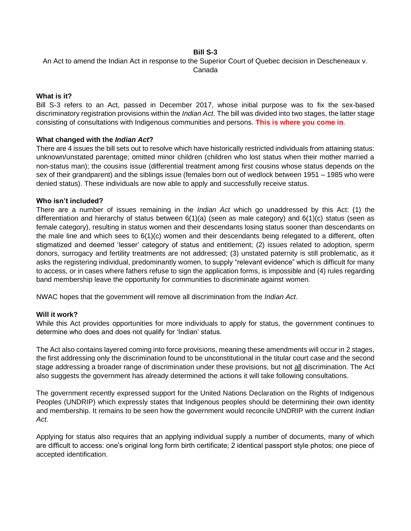### **Bill S-3**

An Act to amend the Indian Act in response to the Superior Court of Quebec decision in Descheneaux v. Canada

### **What is it?**

Bill S-3 refers to an Act, passed in December 2017, whose initial purpose was to fix the sex-based discriminatory registration provisions within the *Indian Act*. The bill was divided into two stages, the latter stage consisting of consultations with Indigenous communities and persons. **This is where you come in**.

#### **What changed with the** *Indian Act***?**

There are 4 issues the bill sets out to resolve which have historically restricted individuals from attaining status: unknown/unstated parentage; omitted minor children (children who lost status when their mother married a non-status man); the cousins issue (differential treatment among first cousins whose status depends on the sex of their grandparent) and the siblings issue (females born out of wedlock between 1951 – 1985 who were denied status). These individuals are now able to apply and successfully receive status.

#### **Who isn't included?**

There are a number of issues remaining in the *Indian Act* which go unaddressed by this Act: (1) the differentiation and hierarchy of status between  $6(1)(a)$  (seen as male category) and  $6(1)(c)$  status (seen as female category), resulting in status women and their descendants losing status sooner than descendants on the male line and which sees to 6(1)(c) women and their descendants being relegated to a different, often stigmatized and deemed 'lesser' category of status and entitlement; (2) issues related to adoption, sperm donors, surrogacy and fertility treatments are not addressed; (3) unstated paternity is still problematic, as it asks the registering individual, predominantly women, to supply "relevant evidence" which is difficult for many to access, or in cases where fathers refuse to sign the application forms, is impossible and (4) rules regarding band membership leave the opportunity for communities to discriminate against women.

NWAC hopes that the government will remove all discrimination from the *Indian Act*.

#### **Will it work?**

While this Act provides opportunities for more individuals to apply for status, the government continues to determine who does and does not qualify for 'Indian' status.

The Act also contains layered coming into force provisions, meaning these amendments will occur in 2 stages, the first addressing only the discrimination found to be unconstitutional in the titular court case and the second stage addressing a broader range of discrimination under these provisions, but not all discrimination. The Act also suggests the government has already determined the actions it will take following consultations.

The government recently expressed support for the United Nations Declaration on the Rights of Indigenous Peoples (UNDRIP) which expressly states that Indigenous peoples should be determining their own identity and membership. It remains to be seen how the government would reconcile UNDRIP with the current *Indian Act.*

Applying for status also requires that an applying individual supply a number of documents, many of which are difficult to access: one's original long form birth certificate; 2 identical passport style photos; one piece of accepted identification.